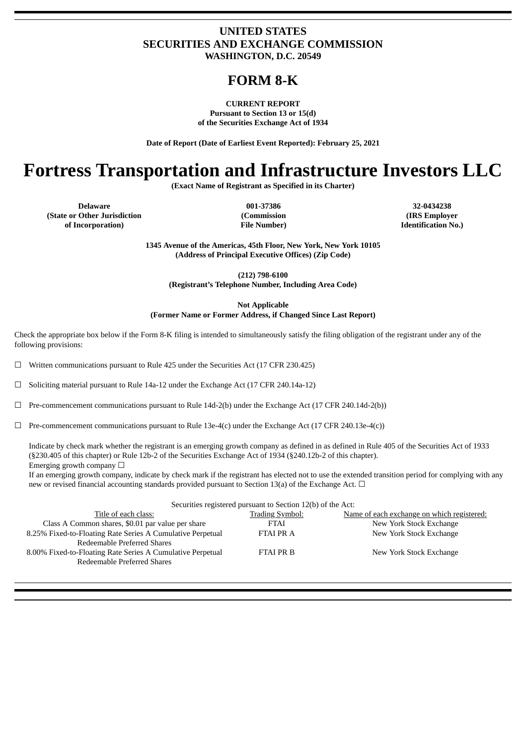# **UNITED STATES SECURITIES AND EXCHANGE COMMISSION WASHINGTON, D.C. 20549**

# **FORM 8-K**

**CURRENT REPORT Pursuant to Section 13 or 15(d) of the Securities Exchange Act of 1934**

**Date of Report (Date of Earliest Event Reported): February 25, 2021**

# **Fortress Transportation and Infrastructure Investors LLC**

**(Exact Name of Registrant as Specified in its Charter)**

**Delaware 001-37386 32-0434238 (State or Other Jurisdiction of Incorporation)**

**(Commission File Number)**

**(IRS Employer Identification No.)**

**1345 Avenue of the Americas, 45th Floor, New York, New York 10105 (Address of Principal Executive Offices) (Zip Code)**

**(212) 798-6100 (Registrant's Telephone Number, Including Area Code)**

**Not Applicable (Former Name or Former Address, if Changed Since Last Report)**

Check the appropriate box below if the Form 8-K filing is intended to simultaneously satisfy the filing obligation of the registrant under any of the following provisions:

 $\Box$  Written communications pursuant to Rule 425 under the Securities Act (17 CFR 230.425)

 $\Box$  Soliciting material pursuant to Rule 14a-12 under the Exchange Act (17 CFR 240.14a-12)

 $\Box$  Pre-commencement communications pursuant to Rule 14d-2(b) under the Exchange Act (17 CFR 240.14d-2(b))

 $\Box$  Pre-commencement communications pursuant to Rule 13e-4(c) under the Exchange Act (17 CFR 240.13e-4(c))

Indicate by check mark whether the registrant is an emerging growth company as defined in as defined in Rule 405 of the Securities Act of 1933 (§230.405 of this chapter) or Rule 12b-2 of the Securities Exchange Act of 1934 (§240.12b-2 of this chapter). Emerging growth company  $\Box$ 

If an emerging growth company, indicate by check mark if the registrant has elected not to use the extended transition period for complying with any new or revised financial accounting standards provided pursuant to Section 13(a) of the Exchange Act.  $\Box$ 

| Securities registered pursuant to Section 12(b) of the Act:                               |                        |                                            |  |  |  |  |
|-------------------------------------------------------------------------------------------|------------------------|--------------------------------------------|--|--|--|--|
| Title of each class:                                                                      | <b>Trading Symbol:</b> | Name of each exchange on which registered: |  |  |  |  |
| Class A Common shares, \$0.01 par value per share                                         | <b>FTAI</b>            | New York Stock Exchange                    |  |  |  |  |
| 8.25% Fixed-to-Floating Rate Series A Cumulative Perpetual<br>Redeemable Preferred Shares | <b>FTAI PRA</b>        | New York Stock Exchange                    |  |  |  |  |
| 8.00% Fixed-to-Floating Rate Series A Cumulative Perpetual<br>Redeemable Preferred Shares | <b>FTAI PR B</b>       | New York Stock Exchange                    |  |  |  |  |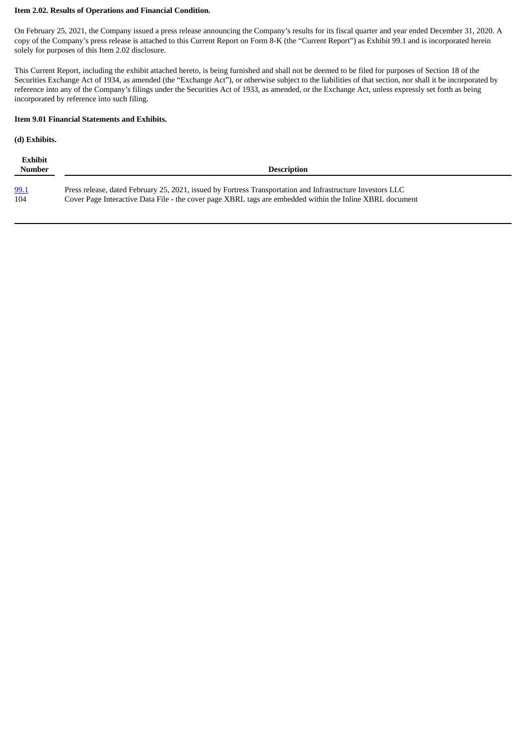#### **Item 2.02. Results of Operations and Financial Condition.**

On February 25, 2021, the Company issued a press release announcing the Company's results for its fiscal quarter and year ended December 31, 2020. A copy of the Company's press release is attached to this Current Report on Form 8-K (the "Current Report") as Exhibit 99.1 and is incorporated herein solely for purposes of this Item 2.02 disclosure.

This Current Report, including the exhibit attached hereto, is being furnished and shall not be deemed to be filed for purposes of Section 18 of the Securities Exchange Act of 1934, as amended (the "Exchange Act"), or otherwise subject to the liabilities of that section, nor shall it be incorporated by reference into any of the Company's filings under the Securities Act of 1933, as amended, or the Exchange Act, unless expressly set forth as being incorporated by reference into such filing.

#### **Item 9.01 Financial Statements and Exhibits.**

# **(d) Exhibits.**

| Exhibit<br>Number | <b>Description</b>                                                                                         |
|-------------------|------------------------------------------------------------------------------------------------------------|
| 99.1              | Press release, dated February 25, 2021, issued by Fortress Transportation and Infrastructure Investors LLC |
| 104               | Cover Page Interactive Data File - the cover page XBRL tags are embedded within the Inline XBRL document   |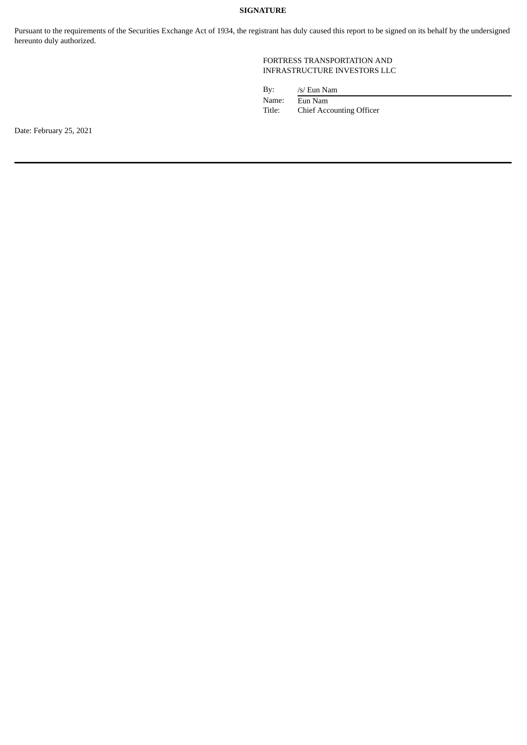# **SIGNATURE**

Pursuant to the requirements of the Securities Exchange Act of 1934, the registrant has duly caused this report to be signed on its behalf by the undersigned hereunto duly authorized.

## FORTRESS TRANSPORTATION AND INFRASTRUCTURE INVESTORS LLC

| Bv:    | /s/ Eun Nam                     |
|--------|---------------------------------|
| Name:  | Eun Nam                         |
| Title: | <b>Chief Accounting Officer</b> |

Date: February 25, 2021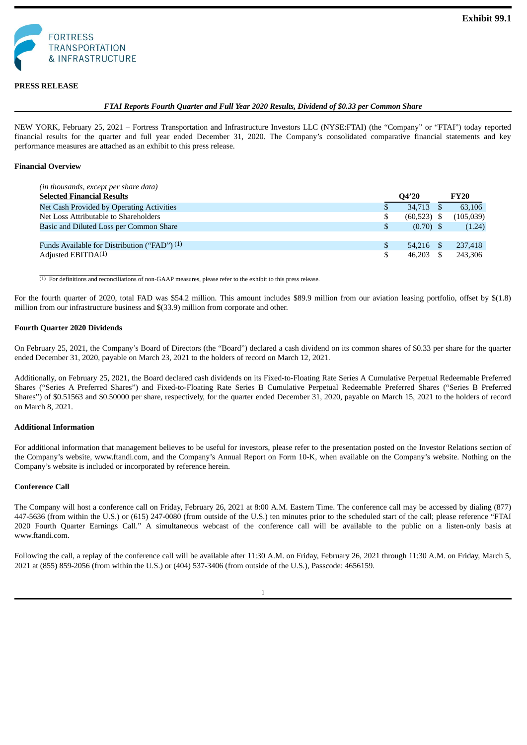<span id="page-3-0"></span>

#### **PRESS RELEASE**

#### *FTAI Reports Fourth Quarter and Full Year 2020 Results, Dividend of \$0.33 per Common Share*

NEW YORK, February 25, 2021 – Fortress Transportation and Infrastructure Investors LLC (NYSE:FTAI) (the "Company" or "FTAI") today reported financial results for the quarter and full year ended December 31, 2020. The Company's consolidated comparative financial statements and key performance measures are attached as an exhibit to this press release.

#### **Financial Overview**

| (in thousands, except per share data)        |                     |             |
|----------------------------------------------|---------------------|-------------|
| <b>Selected Financial Results</b>            | O4'20               | <b>FY20</b> |
| Net Cash Provided by Operating Activities    | 34,713              | 63,106      |
| Net Loss Attributable to Shareholders        | \$<br>$(60,523)$ \$ | (105, 039)  |
| Basic and Diluted Loss per Common Share      | $(0.70)$ \$         | (1.24)      |
|                                              |                     |             |
| Funds Available for Distribution ("FAD") (1) | 54.216 \$           | 237,418     |
| Adjusted EBITDA <sup>(1)</sup>               | 46.203              | 243,306     |

 $\overline{a_{(1)}\,$  For definitions and reconciliations of non-GAAP measures, please refer to the exhibit to this press release.

For the fourth quarter of 2020, total FAD was \$54.2 million. This amount includes \$89.9 million from our aviation leasing portfolio, offset by \$(1.8) million from our infrastructure business and \$(33.9) million from corporate and other.

#### **Fourth Quarter 2020 Dividends**

On February 25, 2021, the Company's Board of Directors (the "Board") declared a cash dividend on its common shares of \$0.33 per share for the quarter ended December 31, 2020, payable on March 23, 2021 to the holders of record on March 12, 2021.

Additionally, on February 25, 2021, the Board declared cash dividends on its Fixed-to-Floating Rate Series A Cumulative Perpetual Redeemable Preferred Shares ("Series A Preferred Shares") and Fixed-to-Floating Rate Series B Cumulative Perpetual Redeemable Preferred Shares ("Series B Preferred Shares") of \$0.51563 and \$0.50000 per share, respectively, for the quarter ended December 31, 2020, payable on March 15, 2021 to the holders of record on March 8, 2021.

#### **Additional Information**

For additional information that management believes to be useful for investors, please refer to the presentation posted on the Investor Relations section of the Company's website, www.ftandi.com, and the Company's Annual Report on Form 10-K, when available on the Company's website. Nothing on the Company's website is included or incorporated by reference herein.

#### **Conference Call**

The Company will host a conference call on Friday, February 26, 2021 at 8:00 A.M. Eastern Time. The conference call may be accessed by dialing (877) 447-5636 (from within the U.S.) or (615) 247-0080 (from outside of the U.S.) ten minutes prior to the scheduled start of the call; please reference "FTAI 2020 Fourth Quarter Earnings Call." A simultaneous webcast of the conference call will be available to the public on a listen-only basis at www.ftandi.com.

Following the call, a replay of the conference call will be available after 11:30 A.M. on Friday, February 26, 2021 through 11:30 A.M. on Friday, March 5, 2021 at (855) 859-2056 (from within the U.S.) or (404) 537-3406 (from outside of the U.S.), Passcode: 4656159.

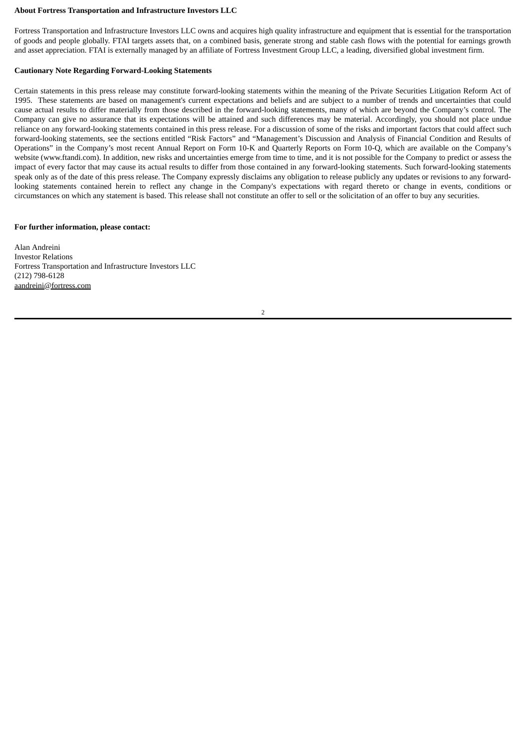#### **About Fortress Transportation and Infrastructure Investors LLC**

Fortress Transportation and Infrastructure Investors LLC owns and acquires high quality infrastructure and equipment that is essential for the transportation of goods and people globally. FTAI targets assets that, on a combined basis, generate strong and stable cash flows with the potential for earnings growth and asset appreciation. FTAI is externally managed by an affiliate of Fortress Investment Group LLC, a leading, diversified global investment firm.

#### **Cautionary Note Regarding Forward-Looking Statements**

Certain statements in this press release may constitute forward-looking statements within the meaning of the Private Securities Litigation Reform Act of 1995. These statements are based on management's current expectations and beliefs and are subject to a number of trends and uncertainties that could cause actual results to differ materially from those described in the forward-looking statements, many of which are beyond the Company's control. The Company can give no assurance that its expectations will be attained and such differences may be material. Accordingly, you should not place undue reliance on any forward-looking statements contained in this press release. For a discussion of some of the risks and important factors that could affect such forward-looking statements, see the sections entitled "Risk Factors" and "Management's Discussion and Analysis of Financial Condition and Results of Operations" in the Company's most recent Annual Report on Form 10-K and Quarterly Reports on Form 10-Q, which are available on the Company's website (www.ftandi.com). In addition, new risks and uncertainties emerge from time to time, and it is not possible for the Company to predict or assess the impact of every factor that may cause its actual results to differ from those contained in any forward-looking statements. Such forward-looking statements speak only as of the date of this press release. The Company expressly disclaims any obligation to release publicly any updates or revisions to any forwardlooking statements contained herein to reflect any change in the Company's expectations with regard thereto or change in events, conditions or circumstances on which any statement is based. This release shall not constitute an offer to sell or the solicitation of an offer to buy any securities.

#### **For further information, please contact:**

Alan Andreini Investor Relations Fortress Transportation and Infrastructure Investors LLC (212) 798-6128 aandreini@fortress.com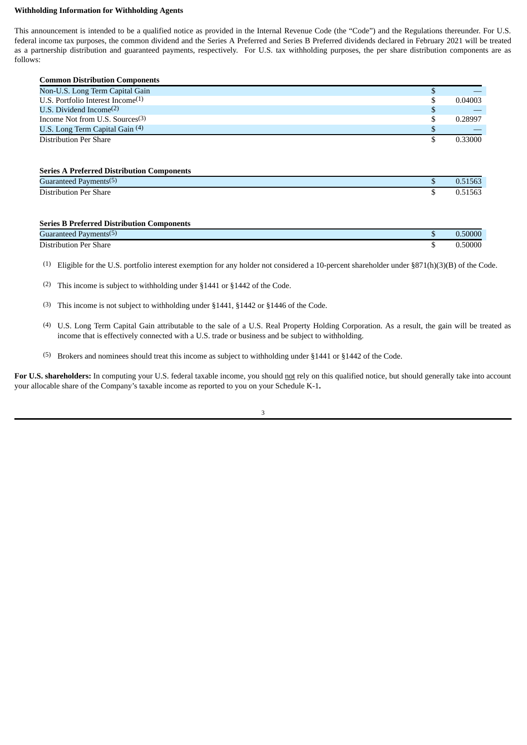#### **Withholding Information for Withholding Agents**

This announcement is intended to be a qualified notice as provided in the Internal Revenue Code (the "Code") and the Regulations thereunder. For U.S. federal income tax purposes, the common dividend and the Series A Preferred and Series B Preferred dividends declared in February 2021 will be treated as a partnership distribution and guaranteed payments, respectively. For U.S. tax withholding purposes, the per share distribution components are as follows:

| <b>Common Distribution Components</b> |         |
|---------------------------------------|---------|
| Non-U.S. Long Term Capital Gain       |         |
| U.S. Portfolio Interest Income $(1)$  | 0.04003 |
| U.S. Dividend Income $(2)$            |         |
| Income Not from U.S. Sources $(3)$    | 0.28997 |
| U.S. Long Term Capital Gain (4)       |         |
| Distribution Per Share                | 0.33000 |

#### **Series A Preferred Distribution Components**

| $\sqrt{2}$<br>Guaranteed<br>Payments(5) | $-0o$<br>- נסטי |
|-----------------------------------------|-----------------|
| Distribution Per:<br>$\sim$<br>Share    | $-0n$<br>בסכי   |

#### **Series B Preferred Distribution Components**

| $\overline{\phantom{0}}$<br>Guaranteed<br>. Payments <sup>(5)</sup> | J.50000 |
|---------------------------------------------------------------------|---------|
| Distribution<br>Per Share                                           | 50000   |

(1) Eligible for the U.S. portfolio interest exemption for any holder not considered a 10-percent shareholder under §871(h)(3)(B) of the Code.

(2) This income is subject to withholding under §1441 or §1442 of the Code.

(3) This income is not subject to withholding under §1441, §1442 or §1446 of the Code.

(4) U.S. Long Term Capital Gain attributable to the sale of a U.S. Real Property Holding Corporation. As a result, the gain will be treated as income that is effectively connected with a U.S. trade or business and be subject to withholding.

(5) Brokers and nominees should treat this income as subject to withholding under §1441 or §1442 of the Code.

For U.S. shareholders: In computing your U.S. federal taxable income, you should not rely on this qualified notice, but should generally take into account your allocable share of the Company's taxable income as reported to you on your Schedule K-1**.**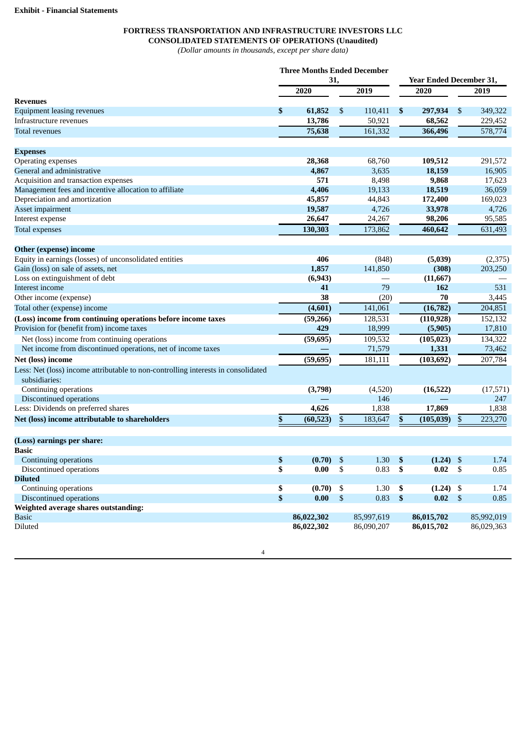# **FORTRESS TRANSPORTATION AND INFRASTRUCTURE INVESTORS LLC CONSOLIDATED STATEMENTS OF OPERATIONS (Unaudited)**

*(Dollar amounts in thousands, except per share data)*

|                                                                                                    | <b>Three Months Ended December</b><br>31, |     | Year Ended December 31, |                           |             |            |            |  |
|----------------------------------------------------------------------------------------------------|-------------------------------------------|-----|-------------------------|---------------------------|-------------|------------|------------|--|
|                                                                                                    |                                           |     |                         |                           |             |            |            |  |
|                                                                                                    | 2020                                      |     | 2019                    |                           | 2020        |            | 2019       |  |
| <b>Revenues</b>                                                                                    |                                           |     |                         |                           |             |            |            |  |
| <b>Equipment leasing revenues</b>                                                                  | \$<br>61,852                              | \$  | 110,411                 | \$                        | 297,934     | \$         | 349,322    |  |
| Infrastructure revenues                                                                            | 13,786                                    |     | 50,921                  |                           | 68,562      |            | 229,452    |  |
| <b>Total revenues</b>                                                                              | 75,638                                    |     | 161,332                 |                           | 366,496     |            | 578,774    |  |
| <b>Expenses</b>                                                                                    |                                           |     |                         |                           |             |            |            |  |
| Operating expenses                                                                                 | 28,368                                    |     | 68,760                  |                           | 109,512     |            | 291,572    |  |
| General and administrative                                                                         | 4,867                                     |     | 3,635                   |                           | 18,159      |            | 16,905     |  |
| Acquisition and transaction expenses                                                               | 571                                       |     | 8,498                   |                           | 9,868       |            | 17,623     |  |
| Management fees and incentive allocation to affiliate                                              | 4,406                                     |     | 19,133                  |                           | 18,519      |            | 36,059     |  |
| Depreciation and amortization                                                                      | 45,857                                    |     | 44,843                  |                           | 172,400     |            | 169,023    |  |
| Asset impairment                                                                                   | 19,587                                    |     | 4,726                   |                           | 33,978      |            | 4,726      |  |
| Interest expense                                                                                   | 26,647                                    |     | 24,267                  |                           | 98,206      |            | 95,585     |  |
| <b>Total expenses</b>                                                                              | 130,303                                   |     | 173,862                 |                           | 460,642     |            | 631,493    |  |
| Other (expense) income                                                                             |                                           |     |                         |                           |             |            |            |  |
| Equity in earnings (losses) of unconsolidated entities                                             | 406                                       |     | (848)                   |                           | (5,039)     |            | (2,375)    |  |
| Gain (loss) on sale of assets, net                                                                 | 1,857                                     |     | 141,850                 |                           | (308)       |            | 203,250    |  |
| Loss on extinguishment of debt                                                                     | (6, 943)                                  |     |                         |                           | (11, 667)   |            |            |  |
| Interest income                                                                                    | 41                                        |     | 79                      |                           | 162         |            | 531        |  |
| Other income (expense)                                                                             | 38                                        |     | (20)                    |                           | 70          |            | 3,445      |  |
|                                                                                                    |                                           |     |                         |                           |             |            | 204,851    |  |
| Total other (expense) income                                                                       | (4,601)                                   |     | 141,061                 |                           | (16, 782)   |            |            |  |
| (Loss) income from continuing operations before income taxes                                       | (59, 266)                                 |     | 128,531                 |                           | (110, 928)  |            | 152,132    |  |
| Provision for (benefit from) income taxes                                                          | 429                                       |     | 18,999                  |                           | (5,905)     |            | 17,810     |  |
| Net (loss) income from continuing operations                                                       | (59, 695)                                 |     | 109,532                 |                           | (105, 023)  |            | 134,322    |  |
| Net income from discontinued operations, net of income taxes                                       |                                           |     | 71,579                  |                           | 1,331       |            | 73,462     |  |
| Net (loss) income                                                                                  | (59, 695)                                 |     | 181,111                 |                           | (103, 692)  |            | 207,784    |  |
| Less: Net (loss) income attributable to non-controlling interests in consolidated<br>subsidiaries: |                                           |     |                         |                           |             |            |            |  |
| Continuing operations                                                                              | (3,798)                                   |     | (4,520)                 |                           | (16, 522)   |            | (17, 571)  |  |
| Discontinued operations                                                                            |                                           |     | 146                     |                           |             |            | 247        |  |
| Less: Dividends on preferred shares                                                                | 4,626                                     |     | 1,838                   |                           | 17,869      |            | 1,838      |  |
| Net (loss) income attributable to shareholders                                                     | \$<br>(60, 523)                           | \$  | 183,647                 | \$                        | (105, 039)  | \$         | 223,270    |  |
|                                                                                                    |                                           |     |                         |                           |             |            |            |  |
| (Loss) earnings per share:                                                                         |                                           |     |                         |                           |             |            |            |  |
| <b>Basic</b>                                                                                       |                                           |     | 1.30                    |                           | $(1.24)$ \$ |            | 1.74       |  |
| Continuing operations                                                                              | \$<br>(0.70)<br>0.00                      | -\$ | $0.83$ \$               | -\$                       | 0.02        | \$         |            |  |
| Discontinued operations<br><b>Diluted</b>                                                          | \$                                        | \$  |                         |                           |             |            | 0.85       |  |
| Continuing operations                                                                              |                                           |     | 1.30                    |                           |             |            |            |  |
|                                                                                                    | \$<br>(0.70)                              | \$  |                         | \$                        | $(1.24)$ \$ |            | 1.74       |  |
| Discontinued operations                                                                            | \$<br>0.00                                | \$  | 0.83                    | $\boldsymbol{\mathsf{S}}$ | 0.02        | $\sqrt{3}$ | 0.85       |  |
| Weighted average shares outstanding:<br><b>Basic</b>                                               |                                           |     |                         |                           |             |            |            |  |
| <b>Diluted</b>                                                                                     | 86,022,302                                |     | 85,997,619              |                           | 86,015,702  |            | 85,992,019 |  |
|                                                                                                    | 86,022,302                                |     | 86,090,207              |                           | 86,015,702  |            | 86,029,363 |  |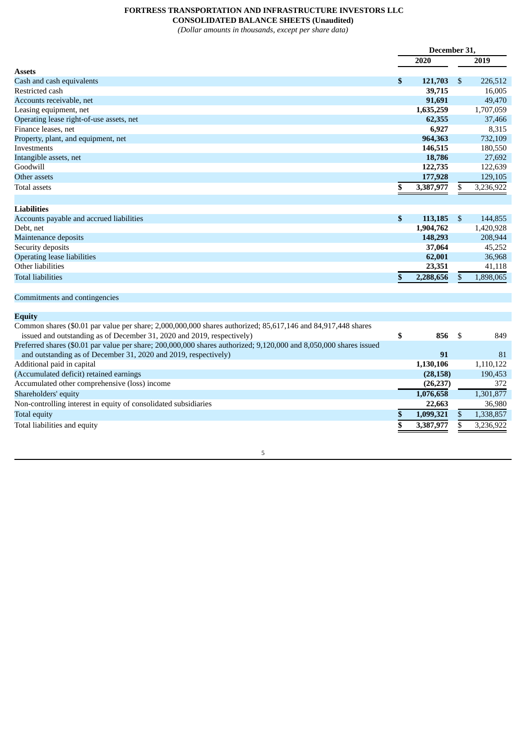# **FORTRESS TRANSPORTATION AND INFRASTRUCTURE INVESTORS LLC**

**CONSOLIDATED BALANCE SHEETS (Unaudited)**

*(Dollar amounts in thousands, except per share data)*

|                                                                                                                    | December 31, |           |                |           |
|--------------------------------------------------------------------------------------------------------------------|--------------|-----------|----------------|-----------|
|                                                                                                                    |              | 2020      |                | 2019      |
| <b>Assets</b>                                                                                                      |              |           |                |           |
| Cash and cash equivalents                                                                                          | \$           | 121,703   | \$             | 226,512   |
| Restricted cash                                                                                                    |              | 39,715    |                | 16,005    |
| Accounts receivable, net                                                                                           |              | 91,691    |                | 49,470    |
| Leasing equipment, net                                                                                             |              | 1,635,259 |                | 1,707,059 |
| Operating lease right-of-use assets, net                                                                           |              | 62,355    |                | 37,466    |
| Finance leases, net                                                                                                |              | 6,927     |                | 8,315     |
| Property, plant, and equipment, net                                                                                |              | 964,363   |                | 732,109   |
| Investments                                                                                                        |              | 146,515   |                | 180,550   |
| Intangible assets, net                                                                                             |              | 18,786    |                | 27,692    |
| Goodwill                                                                                                           |              | 122,735   |                | 122,639   |
| Other assets                                                                                                       |              | 177,928   |                | 129,105   |
| <b>Total assets</b>                                                                                                | \$           | 3,387,977 | S              | 3,236,922 |
|                                                                                                                    |              |           |                |           |
| <b>Liabilities</b>                                                                                                 |              |           |                |           |
| Accounts payable and accrued liabilities                                                                           | \$           | 113,185   | $\mathfrak{S}$ | 144,855   |
| Debt, net                                                                                                          |              | 1,904,762 |                | 1,420,928 |
| Maintenance deposits                                                                                               |              | 148,293   |                | 208,944   |
| Security deposits                                                                                                  |              | 37,064    |                | 45,252    |
| <b>Operating lease liabilities</b>                                                                                 |              | 62,001    |                | 36,968    |
| Other liabilities                                                                                                  |              | 23,351    |                | 41,118    |
| <b>Total liabilities</b>                                                                                           | \$           | 2,288,656 | \$             | 1,898,065 |
|                                                                                                                    |              |           |                |           |
| Commitments and contingencies                                                                                      |              |           |                |           |
|                                                                                                                    |              |           |                |           |
| Equity                                                                                                             |              |           |                |           |
| Common shares (\$0.01 par value per share; 2,000,000,000 shares authorized; 85,617,146 and 84,917,448 shares       |              |           |                |           |
| issued and outstanding as of December 31, 2020 and 2019, respectively)                                             | \$           | 856       | \$             | 849       |
| Preferred shares (\$0.01 par value per share; 200,000,000 shares authorized; 9,120,000 and 8,050,000 shares issued |              |           |                |           |
| and outstanding as of December 31, 2020 and 2019, respectively)                                                    |              | 91        |                | 81        |
| Additional paid in capital                                                                                         |              | 1,130,106 |                | 1,110,122 |
| (Accumulated deficit) retained earnings                                                                            |              | (28, 158) |                | 190.453   |

| Accumulated other comprehensive (loss) income                   | (26, 237) |  | 372       |
|-----------------------------------------------------------------|-----------|--|-----------|
| Shareholders' equity                                            | 1,076,658 |  | 1,301,877 |
| Non-controlling interest in equity of consolidated subsidiaries | 22,663    |  | 36,980    |
| Total equity                                                    | 1.099.321 |  | 1,338,857 |
| Total liabilities and equity                                    | 3,387,977 |  | 3.236.922 |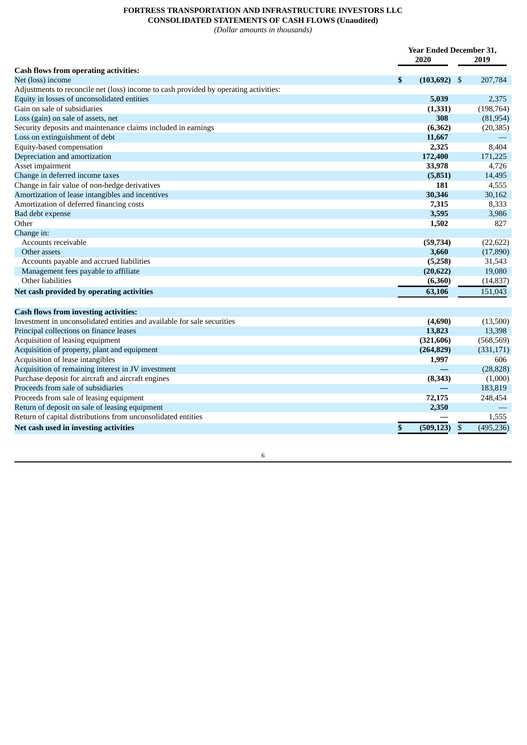## **FORTRESS TRANSPORTATION AND INFRASTRUCTURE INVESTORS LLC CONSOLIDATED STATEMENTS OF CASH FLOWS (Unaudited)**

*(Dollar amounts in thousands)*

|                                                                                      | <b>Year Ended December 31,</b> |                 |    |            |
|--------------------------------------------------------------------------------------|--------------------------------|-----------------|----|------------|
|                                                                                      |                                | 2020            |    | 2019       |
| <b>Cash flows from operating activities:</b>                                         |                                |                 |    |            |
| Net (loss) income                                                                    | \$                             | $(103, 692)$ \$ |    | 207,784    |
| Adjustments to reconcile net (loss) income to cash provided by operating activities: |                                |                 |    |            |
| Equity in losses of unconsolidated entities                                          |                                | 5,039           |    | 2,375      |
| Gain on sale of subsidiaries                                                         |                                | (1, 331)        |    | (198, 764) |
| Loss (gain) on sale of assets, net                                                   |                                | 308             |    | (81, 954)  |
| Security deposits and maintenance claims included in earnings                        |                                | (6, 362)        |    | (20, 385)  |
| Loss on extinguishment of debt                                                       |                                | 11,667          |    |            |
| Equity-based compensation                                                            |                                | 2,325           |    | 8,404      |
| Depreciation and amortization                                                        |                                | 172,400         |    | 171,225    |
| Asset impairment                                                                     |                                | 33,978          |    | 4,726      |
| Change in deferred income taxes                                                      |                                | (5, 851)        |    | 14,495     |
| Change in fair value of non-hedge derivatives                                        |                                | 181             |    | 4,555      |
| Amortization of lease intangibles and incentives                                     |                                | 30,346          |    | 30,162     |
| Amortization of deferred financing costs                                             |                                | 7,315           |    | 8,333      |
| Bad debt expense                                                                     |                                | 3,595           |    | 3,986      |
| Other                                                                                |                                | 1,502           |    | 827        |
| Change in:                                                                           |                                |                 |    |            |
| Accounts receivable                                                                  |                                | (59, 734)       |    | (22, 622)  |
| Other assets                                                                         |                                | 3,660           |    | (17, 890)  |
| Accounts payable and accrued liabilities                                             |                                | (5,258)         |    | 31,543     |
| Management fees payable to affiliate                                                 |                                | (20, 622)       |    | 19,080     |
| Other liabilities                                                                    |                                | (6,360)         |    | (14, 837)  |
| Net cash provided by operating activities                                            |                                | 63,106          |    | 151,043    |
|                                                                                      |                                |                 |    |            |
| <b>Cash flows from investing activities:</b>                                         |                                |                 |    |            |
| Investment in unconsolidated entities and available for sale securities              |                                | (4,690)         |    | (13,500)   |
| Principal collections on finance leases                                              |                                | 13,823          |    | 13,398     |
| Acquisition of leasing equipment                                                     |                                | (321, 606)      |    | (568, 569) |
| Acquisition of property, plant and equipment                                         |                                | (264, 829)      |    | (331, 171) |
| Acquisition of lease intangibles                                                     |                                | 1,997           |    | 606        |
| Acquisition of remaining interest in JV investment                                   |                                |                 |    | (28, 828)  |
| Purchase deposit for aircraft and aircraft engines                                   |                                | (8, 343)        |    | (1,000)    |
| Proceeds from sale of subsidiaries                                                   |                                |                 |    | 183,819    |
| Proceeds from sale of leasing equipment                                              |                                | 72,175          |    | 248,454    |
| Return of deposit on sale of leasing equipment                                       |                                | 2,350           |    |            |
| Return of capital distributions from unconsolidated entities                         |                                |                 |    | 1,555      |
| Net cash used in investing activities                                                | \$                             | (509, 123)      | \$ | (495, 236) |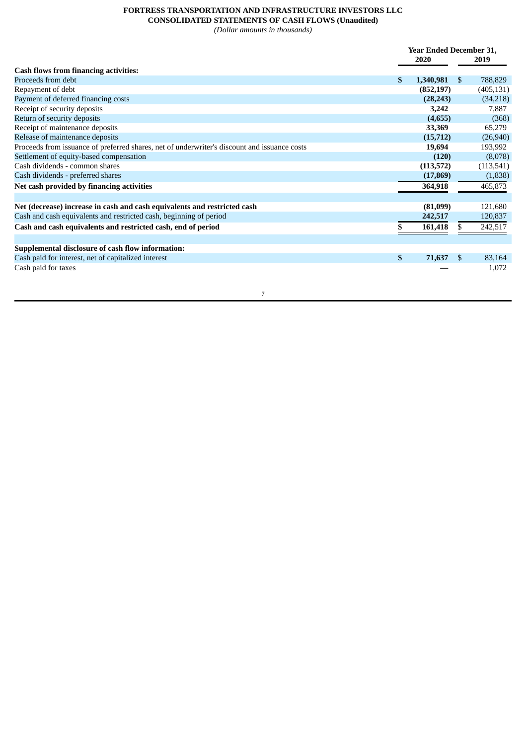# **FORTRESS TRANSPORTATION AND INFRASTRUCTURE INVESTORS LLC CONSOLIDATED STATEMENTS OF CASH FLOWS (Unaudited)**

*(Dollar amounts in thousands)*

|                                                                                              | <b>Year Ended December 31,</b> |            |     |            |
|----------------------------------------------------------------------------------------------|--------------------------------|------------|-----|------------|
|                                                                                              |                                | 2020       |     | 2019       |
| <b>Cash flows from financing activities:</b>                                                 |                                |            |     |            |
| Proceeds from debt                                                                           | \$                             | 1,340,981  | \$  | 788,829    |
| Repayment of debt                                                                            |                                | (852, 197) |     | (405, 131) |
| Payment of deferred financing costs                                                          |                                | (28, 243)  |     | (34,218)   |
| Receipt of security deposits                                                                 |                                | 3,242      |     | 7,887      |
| Return of security deposits                                                                  |                                | (4,655)    |     | (368)      |
| Receipt of maintenance deposits                                                              |                                | 33,369     |     | 65,279     |
| Release of maintenance deposits                                                              |                                | (15, 712)  |     | (26, 940)  |
| Proceeds from issuance of preferred shares, net of underwriter's discount and issuance costs |                                | 19,694     |     | 193,992    |
| Settlement of equity-based compensation                                                      |                                | (120)      |     | (8,078)    |
| Cash dividends - common shares                                                               |                                | (113, 572) |     | (113,541)  |
| Cash dividends - preferred shares                                                            |                                | (17, 869)  |     | (1,838)    |
| Net cash provided by financing activities                                                    |                                | 364,918    |     | 465,873    |
| Net (decrease) increase in cash and cash equivalents and restricted cash                     |                                | (81,099)   |     | 121,680    |
| Cash and cash equivalents and restricted cash, beginning of period                           |                                | 242,517    |     | 120,837    |
| Cash and cash equivalents and restricted cash, end of period                                 |                                | 161,418    |     | 242,517    |
|                                                                                              |                                |            |     |            |
| Supplemental disclosure of cash flow information:                                            |                                |            |     |            |
| Cash paid for interest, net of capitalized interest                                          | \$                             | 71,637     | \$. | 83,164     |
| Cash paid for taxes                                                                          |                                |            |     | 1,072      |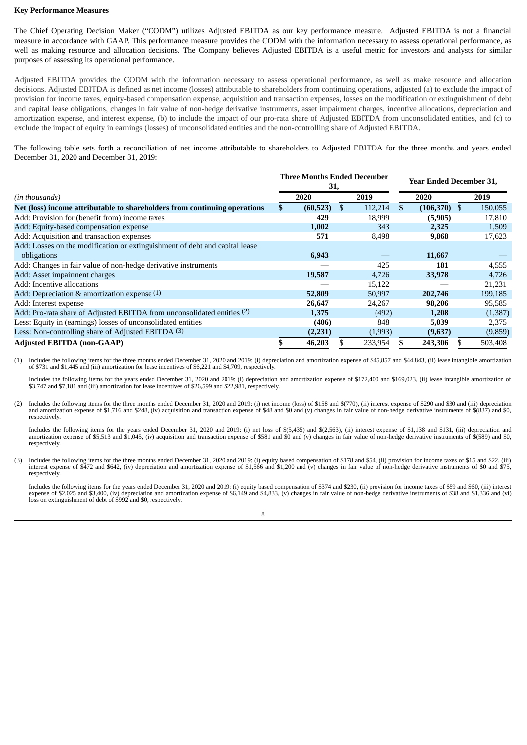#### **Key Performance Measures**

The Chief Operating Decision Maker ("CODM") utilizes Adjusted EBITDA as our key performance measure. Adjusted EBITDA is not a financial measure in accordance with GAAP. This performance measure provides the CODM with the information necessary to assess operational performance, as well as making resource and allocation decisions. The Company believes Adjusted EBITDA is a useful metric for investors and analysts for similar purposes of assessing its operational performance.

Adjusted EBITDA provides the CODM with the information necessary to assess operational performance, as well as make resource and allocation decisions. Adjusted EBITDA is defined as net income (losses) attributable to shareholders from continuing operations, adjusted (a) to exclude the impact of provision for income taxes, equity-based compensation expense, acquisition and transaction expenses, losses on the modification or extinguishment of debt and capital lease obligations, changes in fair value of non-hedge derivative instruments, asset impairment charges, incentive allocations, depreciation and amortization expense, and interest expense, (b) to include the impact of our pro-rata share of Adjusted EBITDA from unconsolidated entities, and (c) to exclude the impact of equity in earnings (losses) of unconsolidated entities and the non-controlling share of Adjusted EBITDA.

The following table sets forth a reconciliation of net income attributable to shareholders to Adjusted EBITDA for the three months and years ended December 31, 2020 and December 31, 2019:

|                                                                             | Three Months Ended December<br>31, |           |     |         | <b>Year Ended December 31,</b> |            |    |         |
|-----------------------------------------------------------------------------|------------------------------------|-----------|-----|---------|--------------------------------|------------|----|---------|
| (in thousands)                                                              |                                    | 2020      |     | 2019    |                                | 2020       |    | 2019    |
| Net (loss) income attributable to shareholders from continuing operations   |                                    | (60, 523) | \$. | 112,214 | \$                             | (106, 370) | \$ | 150,055 |
| Add: Provision for (benefit from) income taxes                              |                                    | 429       |     | 18,999  |                                | (5,905)    |    | 17,810  |
| Add: Equity-based compensation expense                                      |                                    | 1,002     |     | 343     |                                | 2,325      |    | 1,509   |
| Add: Acquisition and transaction expenses                                   |                                    | 571       |     | 8,498   |                                | 9,868      |    | 17,623  |
| Add: Losses on the modification or extinguishment of debt and capital lease |                                    |           |     |         |                                |            |    |         |
| obligations                                                                 |                                    | 6,943     |     |         |                                | 11,667     |    |         |
| Add: Changes in fair value of non-hedge derivative instruments              |                                    |           |     | 425     |                                | 181        |    | 4,555   |
| Add: Asset impairment charges                                               |                                    | 19,587    |     | 4,726   |                                | 33,978     |    | 4,726   |
| Add: Incentive allocations                                                  |                                    |           |     | 15,122  |                                |            |    | 21,231  |
| Add: Depreciation & amortization expense $(1)$                              |                                    | 52,809    |     | 50,997  |                                | 202,746    |    | 199,185 |
| Add: Interest expense                                                       |                                    | 26,647    |     | 24,267  |                                | 98,206     |    | 95,585  |
| Add: Pro-rata share of Adjusted EBITDA from unconsolidated entities (2)     |                                    | 1,375     |     | (492)   |                                | 1,208      |    | (1,387) |
| Less: Equity in (earnings) losses of unconsolidated entities                |                                    | (406)     |     | 848     |                                | 5,039      |    | 2,375   |
| Less: Non-controlling share of Adjusted EBITDA (3)                          |                                    | (2,231)   |     | (1,993) |                                | (9,637)    |    | (9,859) |
| <b>Adjusted EBITDA (non-GAAP)</b>                                           |                                    | 46,203    |     | 233,954 |                                | 243,306    |    | 503,408 |

 $\overline{\phantom{a}}$  ,  $\overline{\phantom{a}}$  ,  $\overline{\phantom{a}}$  ,  $\overline{\phantom{a}}$  ,  $\overline{\phantom{a}}$  ,  $\overline{\phantom{a}}$  ,  $\overline{\phantom{a}}$  ,  $\overline{\phantom{a}}$  ,  $\overline{\phantom{a}}$  ,  $\overline{\phantom{a}}$  ,  $\overline{\phantom{a}}$  ,  $\overline{\phantom{a}}$  ,  $\overline{\phantom{a}}$  ,  $\overline{\phantom{a}}$  ,  $\overline{\phantom{a}}$  ,  $\overline{\phantom{a}}$ Includes the following items for the three months ended December 31, 2020 and 2019: (i) depreciation and amortization expense of \$45,857 and \$44,843, (ii) lease intangible amortization of \$731 and \$1,445 and (iii) amortization for lease incentives of \$6,221 and \$4,709, respectively.

Includes the following items for the years ended December 31, 2020 and 2019: (i) depreciation and amortization expense of \$172,400 and \$169,023, (ii) lease intangible amortization of \$3,747 and \$7,181 and (iii) amortization for lease incentives of \$26,599 and \$22,981, respectively.

(2) Includes the following items for the three months ended December 31, 2020 and 2019: (i) net income (loss) of \$158 and \$(770), (ii) interest expense of \$290 and \$30 and (iii) depreciation and amortization expense of \$1,

Includes the following items for the years ended December 31, 2020 and 2019: (i) net loss of \$(5,435) and \$(2,563), (ii) interest expense of \$1,138 and \$131, (iii) depreciation and amortization expense of \$5,513 and \$1,045, (iv) acquisition and transaction expense of \$581 and \$0 and (v) changes in fair value of non-hedge derivative instruments of \$(589) and \$0, respectively.

(3) Includes the following items for the three months ended December 31, 2020 and 2019: (i) equity based compensation of \$178 and \$54, (ii) provision for income taxes of \$15 and \$22, (iii) interest expense of \$472 and \$642, (iv) depreciation and amortization expense of \$1,566 and \$1,200 and (v) changes in fair value of non-hedge derivative instruments of \$0 and \$75, respectively.

Includes the following items for the years ended December 31, 2020 and 2019: (i) equity based compensation of \$374 and \$230, (ii) provision for income taxes of \$59 and \$60, (iii) interest expense of \$2,025 and \$3,400, (iv) depreciation and amortization expense of \$6,149 and \$4,833, (v) changes in fair value of non-hedge derivative instruments of \$38 and \$1,336 and (vi) loss on extinguishment of debt of \$992 and \$0, respectively.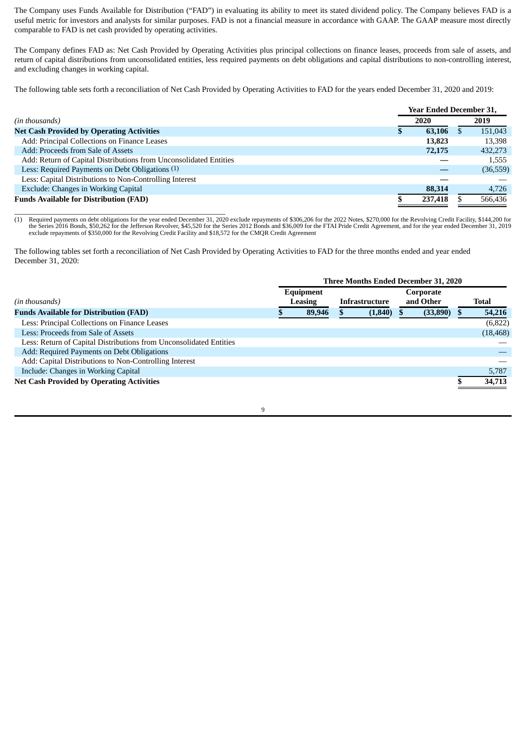The Company uses Funds Available for Distribution ("FAD") in evaluating its ability to meet its stated dividend policy. The Company believes FAD is a useful metric for investors and analysts for similar purposes. FAD is not a financial measure in accordance with GAAP. The GAAP measure most directly comparable to FAD is net cash provided by operating activities.

The Company defines FAD as: Net Cash Provided by Operating Activities plus principal collections on finance leases, proceeds from sale of assets, and return of capital distributions from unconsolidated entities, less required payments on debt obligations and capital distributions to non-controlling interest, and excluding changes in working capital.

The following table sets forth a reconciliation of Net Cash Provided by Operating Activities to FAD for the years ended December 31, 2020 and 2019:

|                                                                   | <b>Year Ended December 31,</b> |         |  |           |  |
|-------------------------------------------------------------------|--------------------------------|---------|--|-----------|--|
| (in thousands)                                                    |                                | 2020    |  | 2019      |  |
| <b>Net Cash Provided by Operating Activities</b>                  |                                | 63,106  |  | 151,043   |  |
| Add: Principal Collections on Finance Leases                      |                                | 13.823  |  | 13,398    |  |
| Add: Proceeds from Sale of Assets                                 |                                | 72,175  |  | 432,273   |  |
| Add: Return of Capital Distributions from Unconsolidated Entities |                                |         |  | 1,555     |  |
| Less: Required Payments on Debt Obligations (1)                   |                                |         |  | (36, 559) |  |
| Less: Capital Distributions to Non-Controlling Interest           |                                |         |  |           |  |
| Exclude: Changes in Working Capital                               |                                | 88,314  |  | 4,726     |  |
| <b>Funds Available for Distribution (FAD)</b>                     |                                | 237,418 |  | 566,436   |  |

\_\_\_\_\_\_\_\_\_\_\_\_\_\_\_\_\_\_\_\_\_\_\_\_\_\_\_\_\_\_\_\_\_\_\_\_\_\_\_\_\_\_\_\_\_\_\_\_\_\_\_\_\_ (1) Required payments on debt obligations for the year ended December 31, 2020 exclude repayments of \$306,206 for the 2022 Notes, \$270,000 for the Revolving Credit Facility, \$144,200 for the Series 2016 Bonds, \$50,262 for exclude repayments of \$350,000 for the Revolving Credit Facility and \$18,572 for the CMQR Credit Agreement

The following tables set forth a reconciliation of Net Cash Provided by Operating Activities to FAD for the three months ended and year ended December 31, 2020:

|                                                                    | <b>Three Months Ended December 31, 2020</b> |        |                |         |                        |          |  |           |
|--------------------------------------------------------------------|---------------------------------------------|--------|----------------|---------|------------------------|----------|--|-----------|
| (in thousands)                                                     | Equipment<br>Leasing                        |        | Infrastructure |         | Corporate<br>and Other |          |  | Total     |
| <b>Funds Available for Distribution (FAD)</b>                      |                                             | 89,946 |                | (1,840) |                        | (33,890) |  | 54,216    |
| Less: Principal Collections on Finance Leases                      |                                             |        |                |         |                        |          |  | (6,822)   |
| Less: Proceeds from Sale of Assets                                 |                                             |        |                |         |                        |          |  | (18, 468) |
| Less: Return of Capital Distributions from Unconsolidated Entities |                                             |        |                |         |                        |          |  |           |
| Add: Required Payments on Debt Obligations                         |                                             |        |                |         |                        |          |  |           |
| Add: Capital Distributions to Non-Controlling Interest             |                                             |        |                |         |                        |          |  |           |
| Include: Changes in Working Capital                                |                                             |        |                |         |                        |          |  | 5,787     |
| <b>Net Cash Provided by Operating Activities</b>                   |                                             |        |                |         |                        |          |  | 34,713    |